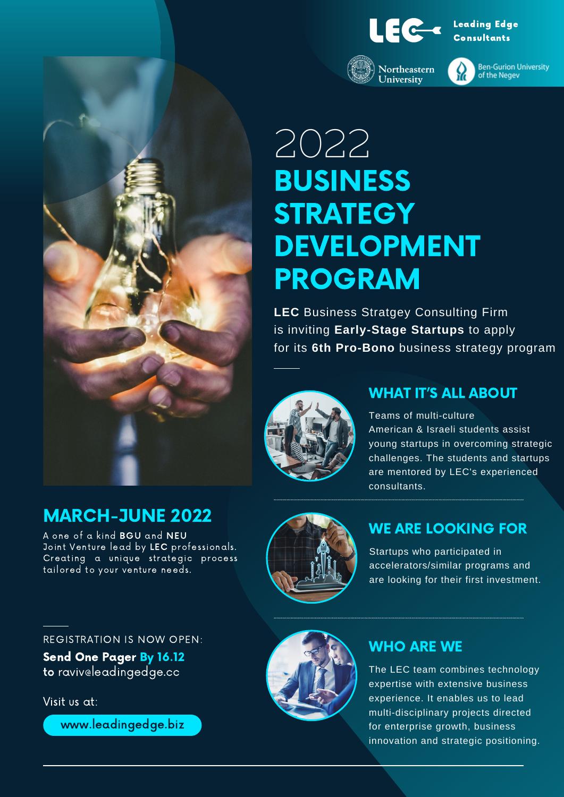

Northeastern

University

Leading Edge Consultants



**Ben-Gurion University** of the Negev

# 2022 BUSINESS **STRATEGY** DEVELOPMENT PROGRAM

**LEC** Business Stratgey Consulting Firm is inviting **Early-Stage Startups** to apply for its **6th Pro-Bono** business strategy program



#### WHAT IT'S ALL ABOUT

Teams of multi-culture American & Israeli students assist young startups in overcoming strategic challenges. The students and startups are mentored by LEC's experienced consultants.

## MARCH-JUNE 2022

A one of a kind BGU and NEU Joint Venture lead by LEC professionals. Creating a unique strategic process tailored to your venture needs.



#### WE ARE LOOKING FOR

Startups who participated in accelerators/similar programs and are looking for their first investment.

#### REGISTRATION IS NOW OPEN:

Send One Pager By 16.12 to raviv@leadingedge.cc

Visit us at:

www.leadingedge.biz



#### WHO ARE WE

The LEC team combines technology expertise with extensive business experience. It enables us to lead multi-disciplinary projects directed for enterprise growth, business innovation and strategic positioning.